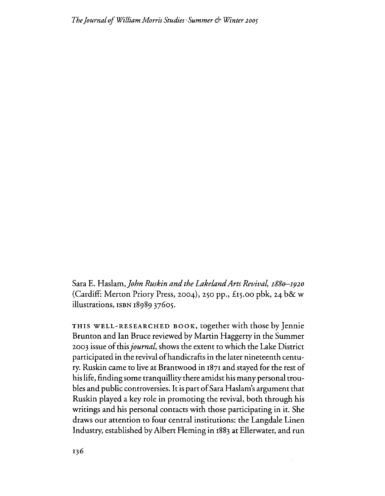Sara E. Haslam) *John Ruskin and the LakelandArts Revival I88(}-I920* (Cardiff: Merton Priory Press, 2004), 250 pp., £15.00 pbk, 24 b& w illustrations, ISBN 1898937605.

THIS WELL-RESEARCHED BOOK, together with those by Jennie Brunton and Ian Bruce reviewed by Martin Haggerty in the Summer 2003 issue ofthis*journal,* shows the extent to which the Lake District participated in the revival ofhandicrafts in the later nineteenth century. Ruskin came to live at Brantwood in 1871 and stayed for the rest of his life, finding some tranquillity there amidst his many personal troubles and public controversies. It is part of Sara Haslam's argument that Ruskin played a key role in promoting the revival, both through his writings and his personal contacts with those participating in it. She draws our attention to four central institutions: the Langdale Linen Industry, established by Albert Fleming in 1883 at Ellerwater, and fun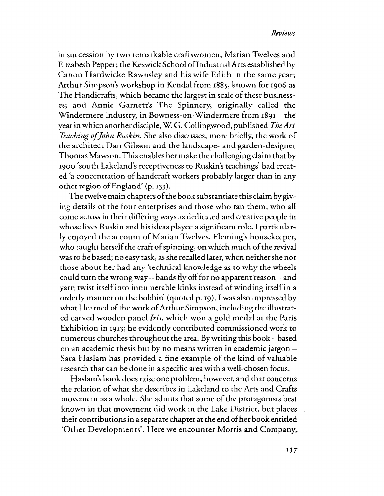in succession by two remarkable crattswomen, Marian Twelves and Elizabeth Pepper; the Keswick School ofIndustrialArts established by Canon Hardwicke Rawnsley and his wife Edith in the same year; Arthur Simpson's workshop in Kendal from 1885, known for 1906 as The Handicrafts, which became the largest in scale of these businesses; and Annie Garnett's The Spinnery, originally called the Windermere Industry, in Bowness-on-Windermere from 1891 - the year in which another disciple,W G. Collingwood, published *TheArt Teaching of John Ruskin.* She also discusses, more briefly, the work of the architect Dan Gibson and the landscape- and garden-designer Thomas Mawson.This enables her make the challenging claim that by 1900 'south Lakeland's receptiveness to Ruskin's teachings' had created 'a concentration ofhandcraft workers probably larger than in any other region ofEngland' (p. 133).

The twelve main chapters of the book substantiate this claim by giving details of the four enterprises and those who ran them, who all come across in their differing ways as dedicated and creative people in whose lives Ruskin and his ideas played a significant role. I particular. ly enjoyed the account of Marian Twelves, Fleming's housekeeper, who taught herself the craft of spinning, on which much of the revival was to be based; no easy task, as she recalled later, when neither she nor those about her had any 'technical knowledge as to why the wheels could turn the wrong way – bands fly off for no apparent reason – and yarn twist itself into innumerable kinks instead of winding itself in a orderly manner on the bobbin' (quoted p. 19). I was also impressed by what I learned of the work of Arthur Simpson, including the illustrated carved wooden panel *Iris,* which won a gold medal at the Paris Exhibition in 1913; he evidently contributed commissioned work to numerous churches throughout the area. Bywriting this book- based on an academic thesis but by no means written in academic jargon --Sara Haslam has provided a fine example of the kind of valuable research that can be done in a specific area with a well-chosen focus.

Haslam's book does raise one problem, however, and that concerns the relation ofwhat she describes in Lakeland to the Arts and Crafts movement as a whole. She admits that some of the protagonists best known in that movement did work in the Lake District, but places their contributions in a separate chapter at the end of her book entitled 'Other Developments'. Here we encounter Morris and Company,